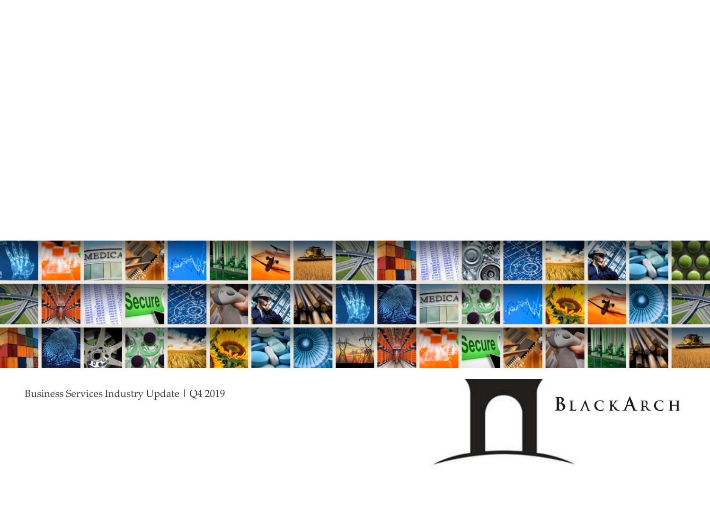

Business Services Industry Update | Q4 2019

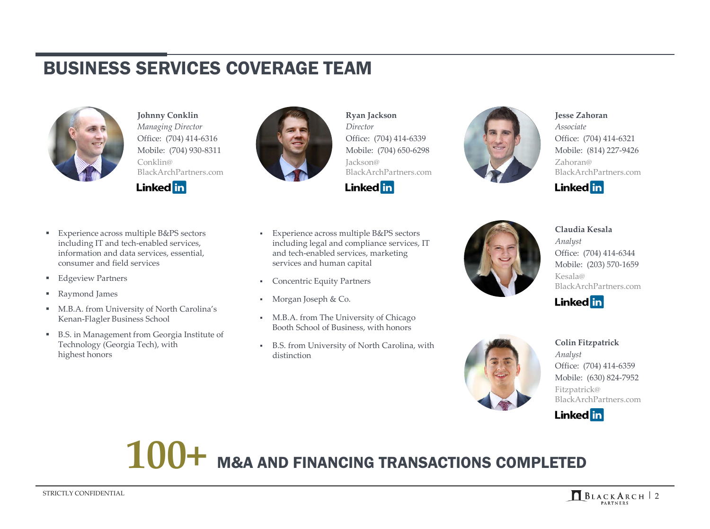#### BUSINESS SERVICES COVERAGE TEAM



**Johnny Conklin** *Managing Director* Office: (704) 414-6316 Mobile: (704) 930-8311 Conklin@ BlackArchPartners.com

**Linked** in



**Ryan Jackson** *Director* Office: (704) 414-6339 Mobile: (704) 650-6298 Jackson@ BlackArchPartners.com



- Experience across multiple B&PS sectors including legal and compliance services, IT and tech-enabled services, marketing services and human capital
- Concentric Equity Partners
- Morgan Joseph & Co.
- M.B.A. from The University of Chicago Booth School of Business, with honors
- B.S. from University of North Carolina, with distinction



**Jesse Zahoran** *Associate* Office: (704) 414-6321 Mobile: (814) 227-9426 Zahoran@ BlackArchPartners.com







**Colin Fitzpatrick** *Analyst* Office: (704) 414-6359 Mobile: (630) 824-7952 Fitzpatrick@ BlackArchPartners.com



# **100+** M&A AND FINANCING TRANSACTIONS COMPLETED

- Experience across multiple B&PS sectors including IT and tech-enabled services, information and data services, essential, consumer and field services
- Edgeview Partners
- Raymond James
- **M.B.A. from University of North Carolina's** Kenan-Flagler Business School
- B.S. in Management from Georgia Institute of Technology (Georgia Tech), with highest honors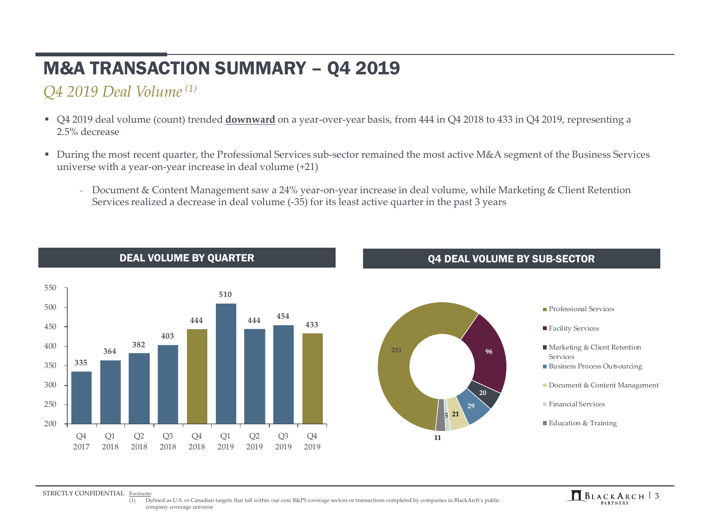# M&A TRANSACTION SUMMARY – Q4 2019

#### *Q4 2019 Deal Volume(1)*

- Q4 2019 deal volume (count) trended **downward** on a year-over-year basis, from 444 in Q4 2018 to 433 in Q4 2019, representing a 2.5% decrease
- During the most recent quarter, the Professional Services sub-sector remained the most active M&A segment of the Business Services universe with a year-on-year increase in deal volume (+21)
	- Document & Content Management saw a 24% year-on-year increase in deal volume, while Marketing & Client Retention Services realized a decrease in deal volume (-35) for its least active quarter in the past 3 years





#### DEAL VOLUME BY QUARTER DEAL VOLUME BY SUB-SECTOR

#### **Professional Services**

- Facility Services
- Marketing & Client Retention Services
- Business Process Outsourcing
- Document & Content Management
- **Financial Services**
- Education & Training

STRICTLY CONFIDENTIAL Footnote:

STRICTLY CONFIDENTIAL Footnote:<br>
(1) Defined as U.S. or Canadian targets that fall within our core B&PS coverage sectors or transactions completed by companies in BlackArch's public<br> **ELACKARCH** 3 company coverage universe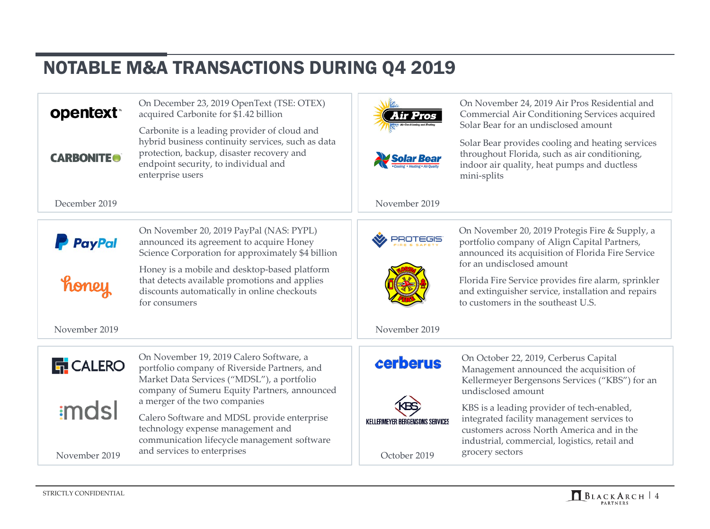#### NOTABLE M&A TRANSACTIONS DURING Q4 2019

On December 23, 2019 OpenText (TSE: OTEX)

| opentext <sup>*</sup> | acquired Carbonite for \$1.42 billion                                                                                                                                                                      |                                   |
|-----------------------|------------------------------------------------------------------------------------------------------------------------------------------------------------------------------------------------------------|-----------------------------------|
| <b>CARBONITE®</b>     | Carbonite is a leading provider of cloud and<br>hybrid business continuity services, such as data<br>protection, backup, disaster recovery and<br>endpoint security, to individual and<br>enterprise users |                                   |
| December 2019         |                                                                                                                                                                                                            | November 2019                     |
| <b>PayPal</b>         | On November 20, 2019 PayPal (NAS: PYPL)<br>announced its agreement to acquire Honey<br>Science Corporation for approximately \$4 billion                                                                   |                                   |
| honey                 | Honey is a mobile and desktop-based platform<br>that detects available promotions and applies<br>discounts automatically in online checkouts<br>for consumers                                              |                                   |
| November 2019         |                                                                                                                                                                                                            | November 2019                     |
| <b>F</b> CALERO       | On November 19, 2019 Calero Software, a<br>portfolio company of Riverside Partners, and<br>Market Data Services ("MDSL"), a portfolio<br>company of Sumeru Equity Partners, announced                      | cerberus                          |
| imdsl                 | a merger of the two companies<br>Calero Software and MDSL provide enterprise                                                                                                                               |                                   |
|                       |                                                                                                                                                                                                            | KEI I EDMEVED BEDGENOONG GEBVIFEG |

technology expense management and

and services to enterprises November 2019

communication lifecycle management software

On November 24, 2019 Air Pros Residential and Commercial Air Conditioning Services acquired Solar Bear for an undisclosed amount

Solar Bear provides cooling and heating services throughout Florida, such as air conditioning, indoor air quality, heat pumps and ductless mini-splits

On November 20, 2019 Protegis Fire & Supply, a portfolio company of Align Capital Partners, announced its acquisition of Florida Fire Service for an undisclosed amount

Florida Fire Service provides fire alarm, sprinkler and extinguisher service, installation and repairs to customers in the southeast U.S.

 $\mathcal{N}$ 

On October 22, 2019, Cerberus Capital Management announced the acquisition of Kellermeyer Bergensons Services ("KBS") for an undisclosed amount

KBS is a leading provider of tech-enabled, integrated facility management services to customers across North America and in the industrial, commercial, logistics, retail and October 2019 grocery sectors

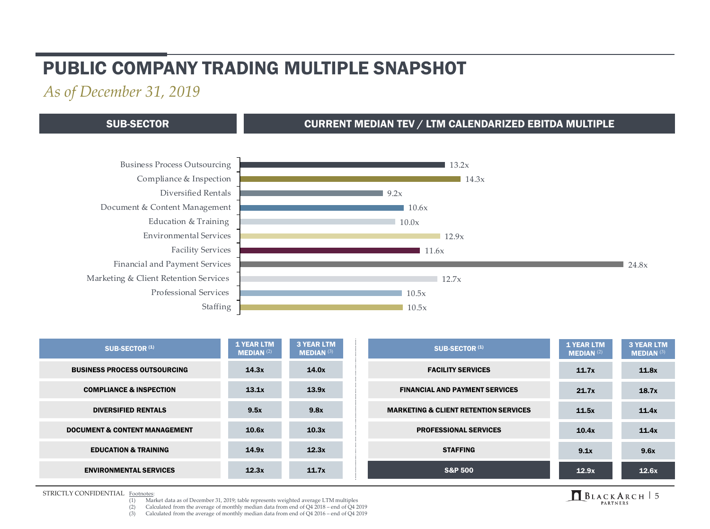#### PUBLIC COMPANY TRADING MULTIPLE SNAPSHOT

*As of December 31, 2019*

#### SUB-SECTOR CURRENT MEDIAN TEV / LTM CALENDARIZED EBITDA MULTIPLE



| SUB-SECTOR <sup>(1)</sup>                | <b>1 YEAR LTM</b><br><b>MEDIAN (2)</b> | <b>3 YEAR LTM</b><br><b>MEDIAN (3)</b> | SUB-SECTOR <sup>(1)</sup>                        | <b>1 YEAR LTM</b><br><b>MEDIAN</b> $(2)$ | <b>3 YEAR LTM</b><br><b>MEDIAN (3)</b> |
|------------------------------------------|----------------------------------------|----------------------------------------|--------------------------------------------------|------------------------------------------|----------------------------------------|
| <b>BUSINESS PROCESS OUTSOURCING</b>      | 14.3x                                  | 14.0x                                  | <b>FACILITY SERVICES</b>                         | 11.7x                                    | 11.8x                                  |
| <b>COMPLIANCE &amp; INSPECTION</b>       | 13.1x                                  | 13.9x                                  | <b>FINANCIAL AND PAYMENT SERVICES</b>            | 21.7x                                    | 18.7x                                  |
| <b>DIVERSIFIED RENTALS</b>               | 9.5x                                   | 9.8x                                   | <b>MARKETING &amp; CLIENT RETENTION SERVICES</b> | 11.5x                                    | 11.4x                                  |
| <b>DOCUMENT &amp; CONTENT MANAGEMENT</b> | 10.6x                                  | 10.3x                                  | <b>PROFESSIONAL SERVICES</b>                     | 10.4x                                    | 11.4x                                  |
| <b>EDUCATION &amp; TRAINING</b>          | 14.9x                                  | 12.3x                                  | <b>STAFFING</b>                                  | 9.1x                                     | 9.6x                                   |
| <b>ENVIRONMENTAL SERVICES</b>            | 12.3x                                  | 11.7x                                  | <b>S&amp;P 500</b>                               | 12.9x                                    | 12.6x                                  |

**STRICTLY CONFIDENTIAL** Footnotes:<br>(1) Mar

- STRICTLY CONFIDENTIAL Footnotes:<br>
(1) Market data as of December 31, 2019; table represents weighted average LTM multiples<br>
(1) Market data as of December 31, 2019; table represents weighted average LTM multiples
	- (2) Calculated from the average of monthly median data from end of Q4 2018 end of Q4 2019
	- (3) Calculated from the average of monthly median data from end of  $\overline{Q}4$  2016 end of  $\overline{Q}4$  2019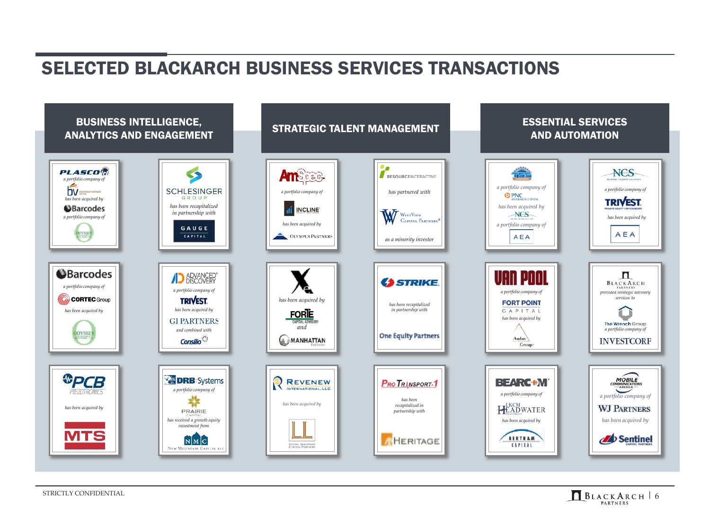#### SELECTED BLACKARCH BUSINESS SERVICES TRANSACTIONS



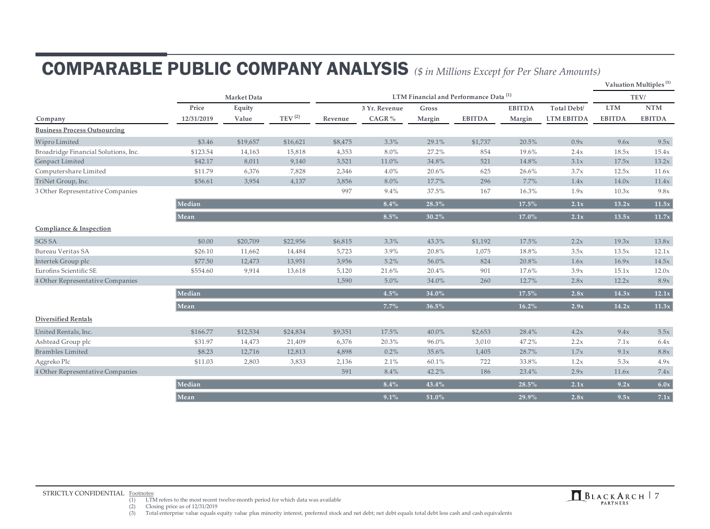# COMPARABLE PUBLIC COMPANY ANALYSIS *(\$ in Millions Except for Per Share Amounts)*

|                                      |                     |                 |                        |         |                                                   |                 |               |                         |                                  |                             | Valuation Multiples <sup>(3)</sup> |
|--------------------------------------|---------------------|-----------------|------------------------|---------|---------------------------------------------------|-----------------|---------------|-------------------------|----------------------------------|-----------------------------|------------------------------------|
|                                      | Market Data         |                 |                        |         | LTM Financial and Performance Data <sup>(1)</sup> |                 |               |                         |                                  |                             |                                    |
| Company                              | Price<br>12/31/2019 | Equity<br>Value | $\mathrm{TEV}^{\,(2)}$ | Revenue | 3 Yr. Revenue<br>CAGR%                            | Gross<br>Margin | <b>EBITDA</b> | <b>EBITDA</b><br>Margin | Total Debt/<br><b>LTM EBITDA</b> | <b>LTM</b><br><b>EBITDA</b> | <b>NTM</b><br><b>EBITDA</b>        |
| <b>Business Process Outsourcing</b>  |                     |                 |                        |         |                                                   |                 |               |                         |                                  |                             |                                    |
| Wipro Limited                        | \$3.46              | \$19,657        | \$16,621               | \$8,475 | 3.3%                                              | 29.1%           | \$1,737       | 20.5%                   | 0.9x                             | 9.6x                        | 9.5x                               |
| Broadridge Financial Solutions, Inc. | \$123.54            | 14,163          | 15,818                 | 4,353   | 8.0%                                              | 27.2%           | 854           | 19.6%                   | 2.4x                             | 18.5x                       | 15.4x                              |
| Genpact Limited                      | \$42.17             | 8,011           | 9,140                  | 3,521   | 11.0%                                             | 34.8%           | 521           | 14.8%                   | 3.1x                             | 17.5x                       | 13.2x                              |
| Computershare Limited                | \$11.79             | 6,376           | 7,828                  | 2,346   | 4.0%                                              | 20.6%           | 625           | 26.6%                   | 3.7x                             | 12.5x                       | 11.6x                              |
| TriNet Group, Inc.                   | \$56.61             | 3,954           | 4,137                  | 3,856   | 8.0%                                              | 17.7%           | 296           | 7.7%                    | 1.4x                             | 14.0x                       | 11.4x                              |
| 3 Other Representative Companies     |                     |                 |                        | 997     | 9.4%                                              | 37.5%           | 167           | 16.3%                   | 1.9x                             | 10.3x                       | 9.8x                               |
|                                      | Median              |                 |                        |         | 8.4%                                              | 28.3%           |               | 17.5%                   | 2.1x                             | 13.2x                       | $\overline{11.5x}$                 |
|                                      | Mean                |                 |                        |         | $8.5\%$                                           | 30.2%           |               | 17.0%                   | 2.1x                             | 13.5x                       | 11.7x                              |
| Compliance & Inspection              |                     |                 |                        |         |                                                   |                 |               |                         |                                  |                             |                                    |
| <b>SGS SA</b>                        | \$0.00              | \$20,709        | \$22,956               | \$6,815 | 3.3%                                              | 43.3%           | \$1,192       | 17.5%                   | 2.2x                             | 19.3x                       | 13.8x                              |
| Bureau Veritas SA                    | \$26.10             | 11,662          | 14,484                 | 5,723   | 3.9%                                              | 20.8%           | 1,075         | 18.8%                   | 3.5x                             | 13.5x                       | 12.1x                              |
| Intertek Group plc                   | \$77.50             | 12,473          | 13,951                 | 3,956   | 5.2%                                              | 56.0%           | 824           | 20.8%                   | 1.6x                             | 16.9x                       | 14.5x                              |
| Eurofins Scientific SE               | \$554.60            | 9,914           | 13,618                 | 5,120   | 21.6%                                             | 20.4%           | 901           | 17.6%                   | 3.9x                             | 15.1x                       | 12.0x                              |
| 4 Other Representative Companies     |                     |                 |                        | 1,590   | 5.0%                                              | 34.0%           | 260           | 12.7%                   | 2.8x                             | 12.2x                       | 8.9x                               |
|                                      | Median              |                 |                        |         | $4.5\%$                                           | 34.0%           |               | $17.5\%$                | 2.8x                             | 14.3x                       | $\overline{12.1x}$                 |
|                                      | Mean                |                 |                        |         | 7.7%                                              | 36.5%           |               | $16.2\%$                | 2.9x                             | 14.2x                       | $\overline{11.3x}$                 |
| <b>Diversified Rentals</b>           |                     |                 |                        |         |                                                   |                 |               |                         |                                  |                             |                                    |
| United Rentals, Inc.                 | \$166.77            | \$12,534        | \$24,834               | \$9,351 | 17.5%                                             | 40.0%           | \$2,653       | 28.4%                   | 4.2x                             | 9.4x                        | 5.5x                               |
| Ashtead Group plc                    | \$31.97             | 14,473          | 21,409                 | 6,376   | 20.3%                                             | 96.0%           | 3,010         | 47.2%                   | 2.2x                             | 7.1x                        | 6.4x                               |
| <b>Brambles Limited</b>              | \$8.23              | 12,716          | 12,813                 | 4,898   | 0.2%                                              | 35.6%           | 1,405         | 28.7%                   | 1.7x                             | 9.1x                        | 8.8x                               |
| Aggreko Plc                          | \$11.03             | 2,803           | 3,833                  | 2,136   | 2.1%                                              | 60.1%           | 722           | 33.8%                   | 1.2x                             | 5.3x                        | 4.9x                               |
| 4 Other Representative Companies     |                     |                 |                        | 591     | 8.4%                                              | 42.2%           | 186           | 23.4%                   | 2.9x                             | 11.6x                       | 7.4x                               |
|                                      | Median              |                 |                        |         | $8.4\%$                                           | 43.4%           |               | 28.5%                   | 2.1x                             | 9.2x                        | 6.0x                               |
|                                      | Mean                |                 |                        |         | 9.1%                                              | 51.0%           |               | 29.9%                   | 2.8x                             | 9.5x                        | 7.1x                               |

STRICTLY CONFIDENTIAL Footnotes:<br>
(1) LTM refers to the most recent twelve-month period for which data was available<br>
(1) LTM refers to the most recent twelve-month period for which data was available

(2) Closing price as of  $12/31/2019$ <br>(3) Total enterprise value equals e

Total enterprise value equals equity value plus minority interest, preferred stock and net debt; net debt equals total debt less cash and cash equivalents

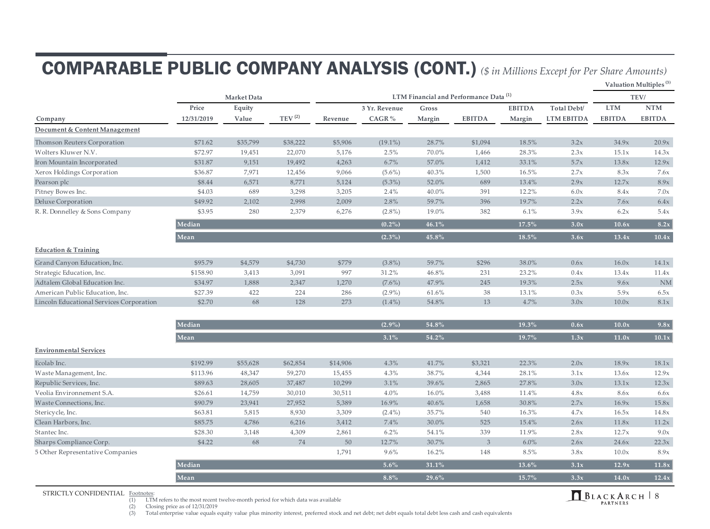## COMPARABLE PUBLIC COMPANY ANALYSIS (CONT.) *(\$ in Millions Except for Per Share Amounts)*

**Valuation Multiples (3)**

|                                          |            | Market Data |                    | LTM Financial and Performance Data <sup>(1)</sup> |               |        |               |               |                   |               | TEV/          |  |
|------------------------------------------|------------|-------------|--------------------|---------------------------------------------------|---------------|--------|---------------|---------------|-------------------|---------------|---------------|--|
|                                          | Price      | Equity      |                    |                                                   | 3 Yr. Revenue | Gross  |               | <b>EBITDA</b> | Total Debt/       | <b>LTM</b>    | $\bf{NTM}$    |  |
| Company                                  | 12/31/2019 | Value       | TEV <sup>(2)</sup> | Revenue                                           | CAGR $%$      | Margin | <b>EBITDA</b> | Margin        | <b>LTM EBITDA</b> | <b>EBITDA</b> | <b>EBITDA</b> |  |
| Document & Content Management            |            |             |                    |                                                   |               |        |               |               |                   |               |               |  |
| Thomson Reuters Corporation              | \$71.62    | \$35,799    | \$38,222           | \$5,906                                           | $(19.1\%)$    | 28.7%  | \$1,094       | 18.5%         | 3.2x              | 34.9x         | 20.9x         |  |
| Wolters Kluwer N.V.                      | \$72.97    | 19,451      | 22,070             | 5,176                                             | 2.5%          | 70.0%  | 1,466         | 28.3%         | 2.3x              | 15.1x         | 14.3x         |  |
| Iron Mountain Incorporated               | \$31.87    | 9,151       | 19,492             | 4,263                                             | 6.7%          | 57.0%  | 1,412         | 33.1%         | 5.7x              | 13.8x         | 12.9x         |  |
| Xerox Holdings Corporation               | \$36.87    | 7,971       | 12,456             | 9,066                                             | $(5.6\%)$     | 40.3%  | 1,500         | 16.5%         | 2.7x              | 8.3x          | 7.6x          |  |
| Pearson plc                              | \$8.44     | 6,571       | 8,771              | 5,124                                             | $(5.3\%)$     | 52.0%  | 689           | 13.4%         | 2.9x              | 12.7x         | 8.9x          |  |
| Pitney Bowes Inc.                        | \$4.03     | 689         | 3,298              | 3,205                                             | 2.4%          | 40.0%  | 391           | 12.2%         | 6.0x              | 8.4x          | 7.0x          |  |
| Deluxe Corporation                       | \$49.92    | 2,102       | 2,998              | 2,009                                             | 2.8%          | 59.7%  | 396           | 19.7%         | 2.2x              | 7.6x          | 6.4x          |  |
| R. R. Donnelley & Sons Company           | \$3.95     | 280         | 2,379              | 6,276                                             | $(2.8\%)$     | 19.0%  | 382           | 6.1%          | 3.9x              | 6.2x          | 5.4x          |  |
|                                          | Median     |             |                    |                                                   | $(0.2\%)$     | 46.1%  |               | 17.5%         | 3.0x              | 10.6x         | 8.2x          |  |
|                                          | Mean       |             |                    |                                                   | $(2.3\%)$     | 45.8%  |               | 18.5%         | 3.6x              | 13.4x         | 10.4x         |  |
| <b>Education &amp; Training</b>          |            |             |                    |                                                   |               |        |               |               |                   |               |               |  |
| Grand Canyon Education, Inc.             | \$95.79    | \$4,579     | \$4,730            | \$779                                             | $(3.8\%)$     | 59.7%  | \$296         | 38.0%         | 0.6x              | 16.0x         | 14.1x         |  |
| Strategic Education, Inc.                | \$158.90   | 3,413       | 3,091              | 997                                               | 31.2%         | 46.8%  | 231           | 23.2%         | 0.4x              | 13.4x         | 11.4x         |  |
| Adtalem Global Education Inc.            | \$34.97    | 1,888       | 2,347              | 1,270                                             | $(7.6\%)$     | 47.9%  | 245           | 19.3%         | 2.5x              | 9.6x          | <b>NM</b>     |  |
| American Public Education, Inc.          | \$27.39    | 422         | 224                | 286                                               | $(2.9\%)$     | 61.6%  | 38            | 13.1%         | 0.3x              | 5.9x          | 6.5x          |  |
| Lincoln Educational Services Corporation | \$2.70     | 68          | 128                | 273                                               | $(1.4\%)$     | 54.8%  | 13            | 4.7%          | 3.0x              | 10.0x         | 8.1x          |  |
|                                          |            |             |                    |                                                   |               |        |               |               |                   |               |               |  |
|                                          | Median     |             |                    |                                                   | $(2.9\%)$     | 54.8%  |               | 19.3%         | 0.6x              | 10.0x         | 9.8x          |  |
|                                          | Mean       |             |                    |                                                   | 3.1%          | 54.2%  |               | 19.7%         | 1.3x              | 11.0x         | $10.1x$       |  |
| <b>Environmental Services</b>            |            |             |                    |                                                   |               |        |               |               |                   |               |               |  |
| the contract of the contract of          |            |             |                    |                                                   |               |        |               |               |                   |               |               |  |

| Ecolab Inc.                      | \$192.99 | \$55,628 | \$62,854 | \$14,906 | $4.3\%$   | 41.7%    | \$3,321 | 22.3%   | 2.0x | 18.9x | 18.1x |
|----------------------------------|----------|----------|----------|----------|-----------|----------|---------|---------|------|-------|-------|
| Waste Management, Inc.           | \$113.96 | 48,347   | 59,270   | 15,455   | 4.3%      | 38.7%    | 4,344   | 28.1%   | 3.1x | 13.6x | 12.9x |
| Republic Services, Inc.          | \$89.63  | 28,605   | 37,487   | 10,299   | 3.1%      | 39.6%    | 2,865   | 27.8%   | 3.0x | 13.1x | 12.3x |
| Veolia Environnement S.A.        | \$26.61  | 14,759   | 30,010   | 30,511   | $4.0\%$   | 16.0%    | 3,488   | 11.4%   | 4.8x | 8.6x  | 6.6x  |
| Waste Connections, Inc.          | \$90.79  | 23,941   | 27,952   | 5,389    | 16.9%     | 40.6%    | 1,658   | 30.8%   | 2.7x | 16.9x | 15.8x |
| Stericycle, Inc.                 | \$63.81  | 5,815    | 8,930    | 3,309    | $(2.4\%)$ | 35.7%    | 540     | 16.3%   | 4.7x | 16.5x | 14.8x |
| Clean Harbors, Inc.              | \$85.75  | 4,786    | 6,216    | 3,412    | 7.4%      | 30.0%    | 525     | 15.4%   | 2.6x | 11.8x | 11.2x |
| Stantec Inc.                     | \$28.30  | 3,148    | 4,309    | 2,861    | $6.2\%$   | 54.1%    | 339     | 11.9%   | 2.8x | 12.7x | 9.0x  |
| Sharps Compliance Corp.          | \$4.22   | 68       | 74       | 50       | 12.7%     | 30.7%    | 3       | $6.0\%$ | 2.6x | 24.6x | 22.3x |
| 5 Other Representative Companies |          |          |          | 1,791    | $9.6\%$   | 16.2%    | 148     | 8.5%    | 3.8x | 10.0x | 8.9x  |
|                                  | Median   |          |          |          | $5.6\%$   | 31.1%    |         | 13.6%   | 3.1x | 12.9x | 11.8x |
|                                  | Mean     |          |          |          | $8.8\%$   | $29.6\%$ |         | 15.7%   | 3.3x | 14.0x | 12.4x |
|                                  |          |          |          |          |           |          |         |         |      |       |       |

STRICTLY CONFIDENTIAL Footnotes:<br>(1) LTM

STRICTLY CONFIDENTIAL Footnotes:<br>
(1) LTM refers to the most recent twelve-month period for which data was available<br>
(1) LTM refers to the most recent twelve-month period for which data was available

(2) Closing price as of  $12/31/2019$ <br>(3) Total enterprise value equals e Total enterprise value equals equity value plus minority interest, preferred stock and net debt; net debt equals total debt less cash and cash equivalents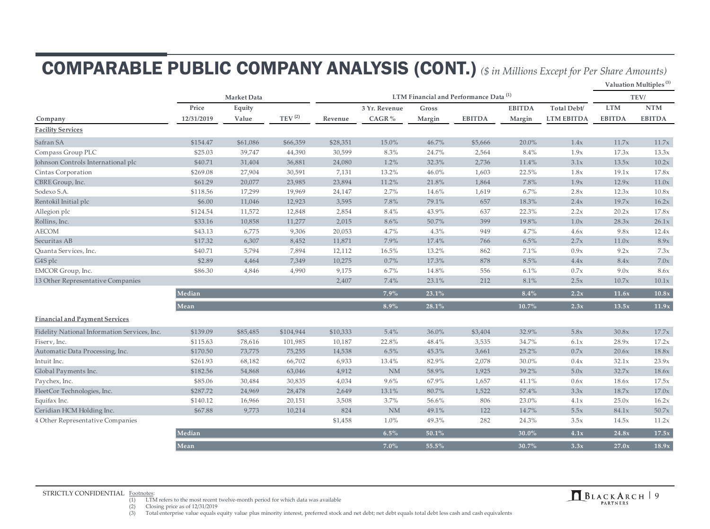## COMPARABLE PUBLIC COMPANY ANALYSIS (CONT.) *(\$ in Millions Except for Per Share Amounts)*

**Valuation Multiples (3)**

|                                              | Market Data |          |                    | LTM Financial and Performance Data <sup>(1)</sup> |               |          |               |               |                   |               | TEV/          |  |
|----------------------------------------------|-------------|----------|--------------------|---------------------------------------------------|---------------|----------|---------------|---------------|-------------------|---------------|---------------|--|
|                                              | Price       | Equity   |                    |                                                   | 3 Yr. Revenue | Gross    |               | <b>EBITDA</b> | Total Debt/       | <b>LTM</b>    | <b>NTM</b>    |  |
| Company                                      | 12/31/2019  | Value    | TEV <sup>(2)</sup> | Revenue                                           | CAGR %        | Margin   | <b>EBITDA</b> | Margin        | <b>LTM EBITDA</b> | <b>EBITDA</b> | <b>EBITDA</b> |  |
| <b>Facility Services</b>                     |             |          |                    |                                                   |               |          |               |               |                   |               |               |  |
| Safran SA                                    | \$154.47    | \$61,086 | \$66,359           | \$28,351                                          | 15.0%         | 46.7%    | \$5,666       | 20.0%         | 1.4x              | 11.7x         | 11.7x         |  |
| Compass Group PLC                            | \$25.03     | 39,747   | 44,390             | 30,599                                            | 8.3%          | 24.7%    | 2,564         | 8.4%          | 1.9x              | 17.3x         | 13.3x         |  |
| Johnson Controls International plc           | \$40.71     | 31,404   | 36,881             | 24,080                                            | 1.2%          | 32.3%    | 2,736         | 11.4%         | 3.1x              | 13.5x         | 10.2x         |  |
| Cintas Corporation                           | \$269.08    | 27,904   | 30,591             | 7,131                                             | 13.2%         | 46.0%    | 1,603         | 22.5%         | 1.8x              | 19.1x         | 17.8x         |  |
| CBRE Group, Inc.                             | \$61.29     | 20,077   | 23,985             | 23,894                                            | 11.2%         | 21.8%    | 1,864         | 7.8%          | 1.9x              | 12.9x         | 11.0x         |  |
| Sodexo S.A.                                  | \$118.56    | 17,299   | 19,969             | 24,147                                            | 2.7%          | 14.6%    | 1,619         | 6.7%          | 2.8x              | 12.3x         | 10.8x         |  |
| Rentokil Initial plc                         | \$6.00      | 11,046   | 12,923             | 3,595                                             | 7.8%          | 79.1%    | 657           | 18.3%         | 2.4x              | 19.7x         | 16.2x         |  |
| Allegion plc                                 | \$124.54    | 11,572   | 12,848             | 2,854                                             | 8.4%          | 43.9%    | 637           | 22.3%         | 2.2x              | 20.2x         | 17.8x         |  |
| Rollins, Inc.                                | \$33.16     | 10,858   | 11,277             | 2,015                                             | 8.6%          | 50.7%    | 399           | 19.8%         | 1.0x              | 28.3x         | 26.1x         |  |
| <b>AECOM</b>                                 | \$43.13     | 6,775    | 9,306              | 20,053                                            | 4.7%          | 4.3%     | 949           | 4.7%          | 4.6x              | 9.8x          | 12.4x         |  |
| Securitas AB                                 | \$17.32     | 6,307    | 8,452              | 11,871                                            | 7.9%          | 17.4%    | 766           | 6.5%          | 2.7x              | 11.0x         | 8.9x          |  |
| Quanta Services, Inc.                        | \$40.71     | 5,794    | 7,894              | 12,112                                            | 16.5%         | 13.2%    | 862           | 7.1%          | 0.9x              | 9.2x          | 7.3x          |  |
| G4S plc                                      | \$2.89      | 4,464    | 7,349              | 10,275                                            | 0.7%          | 17.3%    | 878           | 8.5%          | 4.4x              | 8.4x          | 7.0x          |  |
| EMCOR Group, Inc.                            | \$86.30     | 4,846    | 4,990              | 9,175                                             | 6.7%          | 14.8%    | 556           | 6.1%          | 0.7x              | 9.0x          | 8.6x          |  |
| 13 Other Representative Companies            |             |          |                    | 2,407                                             | 7.4%          | 23.1%    | 212           | 8.1%          | 2.5x              | 10.7x         | 10.1x         |  |
|                                              | Median      |          |                    |                                                   | 7.9%          | 23.1%    |               | $8.4\%$       | 2.2x              | 11.6x         | 10.8x         |  |
|                                              | Mean        |          |                    |                                                   | $8.9\%$       | $28.1\%$ |               | 10.7%         | 2.3x              | 13.5x         | 11.9x         |  |
| <b>Financial and Payment Services</b>        |             |          |                    |                                                   |               |          |               |               |                   |               |               |  |
| Fidelity National Information Services, Inc. | \$139.09    | \$85,485 | \$104,944          | \$10,333                                          | 5.4%          | 36.0%    | \$3,404       | 32.9%         | 5.8x              | 30.8x         | 17.7x         |  |
| Fiserv, Inc.                                 | \$115.63    | 78,616   | 101,985            | 10,187                                            | 22.8%         | 48.4%    | 3,535         | 34.7%         | 6.1x              | 28.9x         | 17.2x         |  |
| Automatic Data Processing, Inc.              | \$170.50    | 73,775   | 75,255             | 14,538                                            | 6.5%          | 45.3%    | 3,661         | 25.2%         | 0.7x              | 20.6x         | 18.8x         |  |
| Intuit Inc.                                  | \$261.93    | 68,182   | 66,702             | 6,933                                             | 13.4%         | 82.9%    | 2,078         | 30.0%         | 0.4x              | 32.1x         | 23.9x         |  |
| Global Payments Inc.                         | \$182.56    | 54,868   | 63,046             | 4,912                                             | NM            | 58.9%    | 1,925         | 39.2%         | 5.0x              | 32.7x         | 18.6x         |  |
| Paychex, Inc.                                | \$85.06     | 30,484   | 30,835             | 4,034                                             | 9.6%          | 67.9%    | 1,657         | 41.1%         | 0.6x              | 18.6x         | 17.5x         |  |
| FleetCor Technologies, Inc.                  | \$287.72    | 24,969   | 28,478             | 2,649                                             | 13.1%         | 80.7%    | 1,522         | 57.4%         | 3.3x              | 18.7x         | 17.0x         |  |
| Equifax Inc.                                 | \$140.12    | 16,966   | 20,151             | 3,508                                             | 3.7%          | 56.6%    | 806           | 23.0%         | 4.1x              | 25.0x         | 16.2x         |  |
| Ceridian HCM Holding Inc.                    | \$67.88     | 9,773    | 10,214             | 824                                               | NM            | 49.1%    | 122           | 14.7%         | 5.5x              | 84.1x         | 50.7x         |  |
| 4 Other Representative Companies             |             |          |                    | \$1,458                                           | 1.0%          | 49.3%    | 282           | 24.3%         | 3.5x              | 14.5x         | 11.2x         |  |
|                                              | Median      |          |                    |                                                   | $6.5\%$       | 50.1%    |               | 30.0%         | 4.1x              | 24.8x         | 17.5x         |  |
|                                              | Mean        |          |                    |                                                   | $7.0\%$       | 55.5%    |               | 30.7%         | 3.3x              | 27.0x         | 18.9x         |  |

STRICTLY CONFIDENTIAL Footnotes:<br>
(1) LTM refers to the most recent twelve-month period for which data was available<br>
(1) LTM refers to the most recent twelve-month period for which data was available

(2) Closing price as of  $12/31/2019$ <br>(3) Total enterprise value equals e Total enterprise value equals equity value plus minority interest, preferred stock and net debt; net debt equals total debt less cash and cash equivalents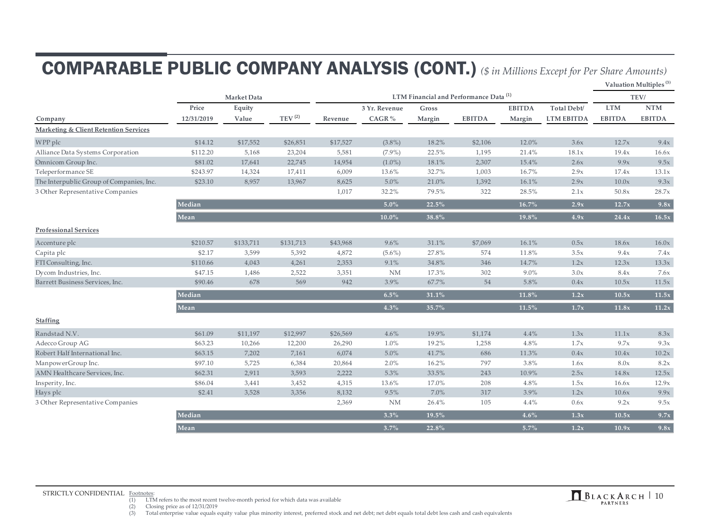## COMPARABLE PUBLIC COMPANY ANALYSIS (CONT.) *(\$ in Millions Except for Per Share Amounts)*

**Valuation Multiples (3)**

|                                          |            | LTM Financial and Performance Data <sup>(1)</sup> |                        |          |               |        |               |               | TEV/              |               |               |
|------------------------------------------|------------|---------------------------------------------------|------------------------|----------|---------------|--------|---------------|---------------|-------------------|---------------|---------------|
|                                          | Price      | Equity                                            |                        |          | 3 Yr. Revenue | Gross  |               | <b>EBITDA</b> | Total Debt/       | <b>LTM</b>    | <b>NTM</b>    |
| Company                                  | 12/31/2019 | Value                                             | $\mathrm{TEV}^{\,(2)}$ | Revenue  | CAGR $%$      | Margin | <b>EBITDA</b> | Margin        | <b>LTM EBITDA</b> | <b>EBITDA</b> | <b>EBITDA</b> |
| Marketing & Client Retention Services    |            |                                                   |                        |          |               |        |               |               |                   |               |               |
| WPP plc                                  | \$14.12    | \$17,552                                          | \$26,851               | \$17,527 | $(3.8\%)$     | 18.2%  | \$2,106       | 12.0%         | 3.6x              | 12.7x         | 9.4x          |
| Alliance Data Systems Corporation        | \$112.20   | 5,168                                             | 23,204                 | 5,581    | $(7.9\%)$     | 22.5%  | 1,195         | 21.4%         | 18.1x             | 19.4x         | 16.6x         |
| Omnicom Group Inc.                       | \$81.02    | 17,641                                            | 22,745                 | 14,954   | $(1.0\%)$     | 18.1%  | 2,307         | 15.4%         | 2.6x              | 9.9x          | 9.5x          |
| Teleperformance SE                       | \$243.97   | 14,324                                            | 17,411                 | 6,009    | 13.6%         | 32.7%  | 1,003         | 16.7%         | 2.9x              | 17.4x         | 13.1x         |
| The Interpublic Group of Companies, Inc. | \$23.10    | 8,957                                             | 13,967                 | 8,625    | 5.0%          | 21.0%  | 1,392         | 16.1%         | 2.9x              | 10.0x         | 9.3x          |
| 3 Other Representative Companies         |            |                                                   |                        | 1,017    | 32.2%         | 79.5%  | 322           | 28.5%         | 2.1x              | 50.8x         | 28.7x         |
|                                          | Median     |                                                   |                        |          | $5.0\%$       | 22.5%  |               | $16.7\%$      | 2.9x              | 12.7x         | 9.8x          |
|                                          | Mean       |                                                   |                        |          | $10.0\%$      | 38.8%  |               | 19.8%         | 4.9x              | 24.4x         | 16.5x         |
| <b>Professional Services</b>             |            |                                                   |                        |          |               |        |               |               |                   |               |               |
| Accenture plc                            | \$210.57   | \$133,711                                         | \$131,713              | \$43,968 | 9.6%          | 31.1%  | \$7,069       | 16.1%         | 0.5x              | 18.6x         | 16.0x         |
| Capita plc                               | \$2.17     | 3,599                                             | 5,392                  | 4,872    | $(5.6\%)$     | 27.8%  | 574           | 11.8%         | 3.5x              | 9.4x          | 7.4x          |
| FTI Consulting, Inc.                     | \$110.66   | 4,043                                             | 4,261                  | 2,353    | 9.1%          | 34.8%  | 346           | 14.7%         | 1.2x              | 12.3x         | 13.3x         |
| Dycom Industries, Inc.                   | \$47.15    | 1,486                                             | 2,522                  | 3,351    | <b>NM</b>     | 17.3%  | 302           | $9.0\%$       | 3.0x              | 8.4x          | 7.6x          |
| Barrett Business Services, Inc.          | \$90.46    | 678                                               | 569                    | 942      | 3.9%          | 67.7%  | 54            | 5.8%          | 0.4x              | 10.5x         | 11.5x         |
|                                          | Median     |                                                   |                        |          | $6.5\%$       | 31.1%  |               | 11.8%         | 1.2x              | 10.5x         | $11.5x$       |
|                                          | Mean       |                                                   |                        |          | $4.3\%$       | 35.7%  |               | $11.5\%$      | 1.7x              | 11.8x         | 11.2x         |
| <b>Staffing</b>                          |            |                                                   |                        |          |               |        |               |               |                   |               |               |
| Randstad N.V.                            | \$61.09    | \$11,197                                          | \$12,997               | \$26,569 | 4.6%          | 19.9%  | \$1,174       | $4.4\%$       | 1.3x              | 11.1x         | 8.3x          |
| Adecco Group AG                          | \$63.23    | 10,266                                            | 12,200                 | 26,290   | 1.0%          | 19.2%  | 1,258         | 4.8%          | 1.7x              | 9.7x          | 9.3x          |
| Robert Half International Inc.           | \$63.15    | 7,202                                             | 7,161                  | 6,074    | 5.0%          | 41.7%  | 686           | 11.3%         | 0.4x              | 10.4x         | 10.2x         |
| ManpowerGroup Inc.                       | \$97.10    | 5,725                                             | 6,384                  | 20,864   | 2.0%          | 16.2%  | 797           | 3.8%          | 1.6x              | 8.0x          | 8.2x          |
| AMN Healthcare Services, Inc.            | \$62.31    | 2,911                                             | 3,593                  | 2,222    | 5.3%          | 33.5%  | 243           | 10.9%         | 2.5x              | 14.8x         | 12.5x         |
| Insperity, Inc.                          | \$86.04    | 3,441                                             | 3,452                  | 4,315    | 13.6%         | 17.0%  | 208           | 4.8%          | 1.5x              | 16.6x         | 12.9x         |
| Hays plc                                 | \$2.41     | 3,528                                             | 3,356                  | 8,132    | 9.5%          | 7.0%   | 317           | 3.9%          | 1.2x              | 10.6x         | 9.9x          |
| 3 Other Representative Companies         |            |                                                   |                        | 2,369    | <b>NM</b>     | 26.4%  | 105           | 4.4%          | 0.6x              | 9.2x          | 9.5x          |
|                                          | Median     |                                                   |                        |          | $3.3\%$       | 19.5%  |               | 4.6%          | 1.3x              | 10.5x         | 9.7x          |
|                                          | Mean       |                                                   |                        |          | $3.7\%$       | 22.8%  |               | $5.7\%$       | 1.2x              | 10.9x         | 9.8x          |

STRICTLY CONFIDENTIAL  $\frac{F_{\text{cothotes}}}{1}$  (1) LTM refers to the most recent twelve-month period for which data was available

(2) Closing price as of  $12/31/2019$ <br>(3) Total enterprise value equals e

Total enterprise value equals equity value plus minority interest, preferred stock and net debt; net debt equals total debt less cash and cash equivalents